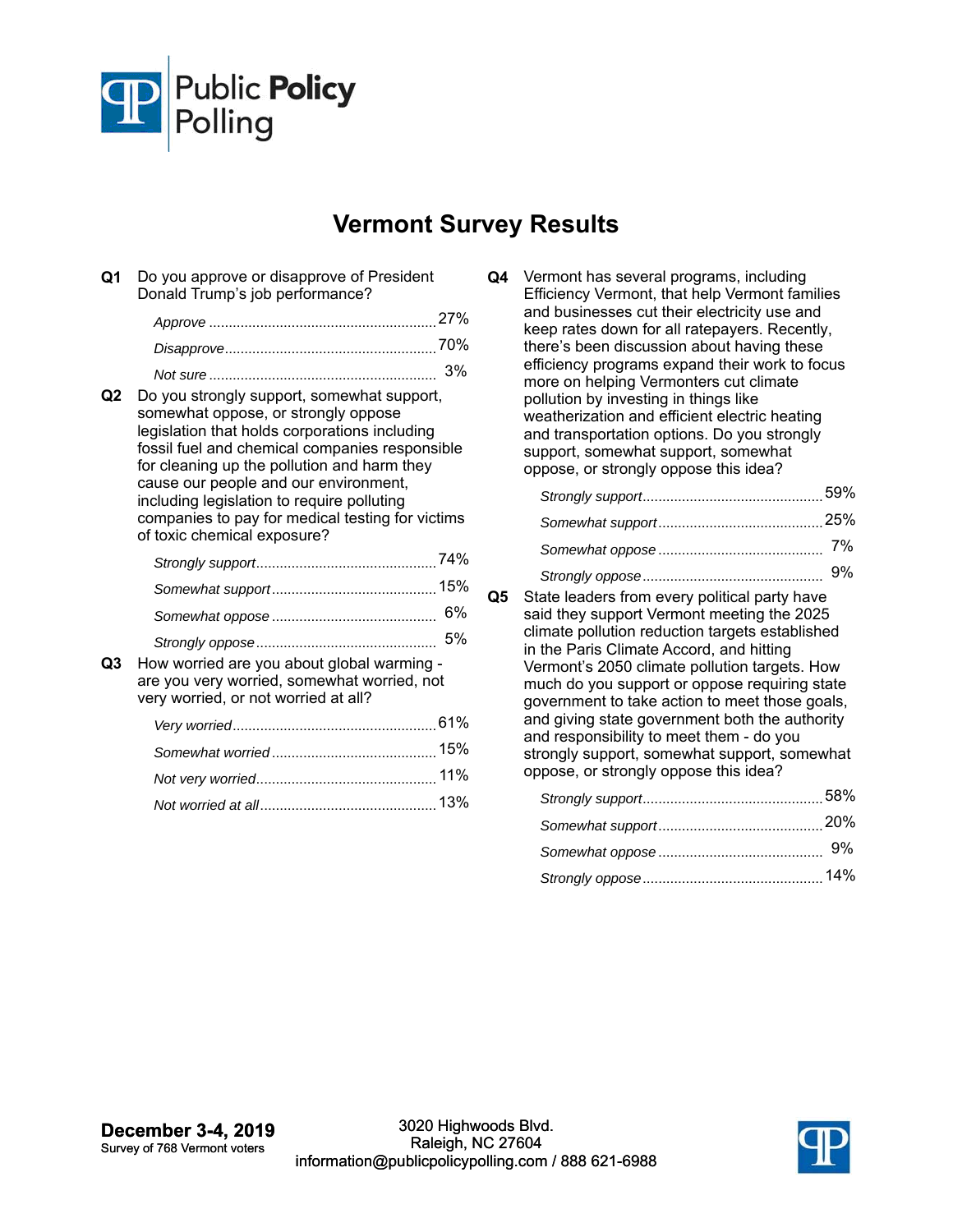

## **Vermont Survey Results**

**Q1** Do you approve or disapprove of President Donald Trump's job performance?

| 27% |
|-----|
| 70% |
| 3%  |

**Q2** Do you strongly support, somewhat support, somewhat oppose, or strongly oppose legislation that holds corporations including fossil fuel and chemical companies responsible for cleaning up the pollution and harm they cause our people and our environment, including legislation to require polluting companies to pay for medical testing for victims of toxic chemical exposure?

**Q3** How worried are you about global warming are you very worried, somewhat worried, not very worried, or not worried at all?

**Q4** Vermont has several programs, including Efficiency Vermont, that help Vermont families and businesses cut their electricity use and keep rates down for all ratepayers. Recently, there's been discussion about having these efficiency programs expand their work to focus more on helping Vermonters cut climate pollution by investing in things like weatherization and efficient electric heating and transportation options. Do you strongly support, somewhat support, somewhat oppose, or strongly oppose this idea?

**Q5** State leaders from every political party have said they support Vermont meeting the 2025 climate pollution reduction targets established in the Paris Climate Accord, and hitting Vermont's 2050 climate pollution targets. How much do you support or oppose requiring state government to take action to meet those goals, and giving state government both the authority and responsibility to meet them - do you strongly support, somewhat support, somewhat oppose, or strongly oppose this idea?

| 14% |
|-----|

**December 3-4, 2019** Survey of 768 Vermont voters

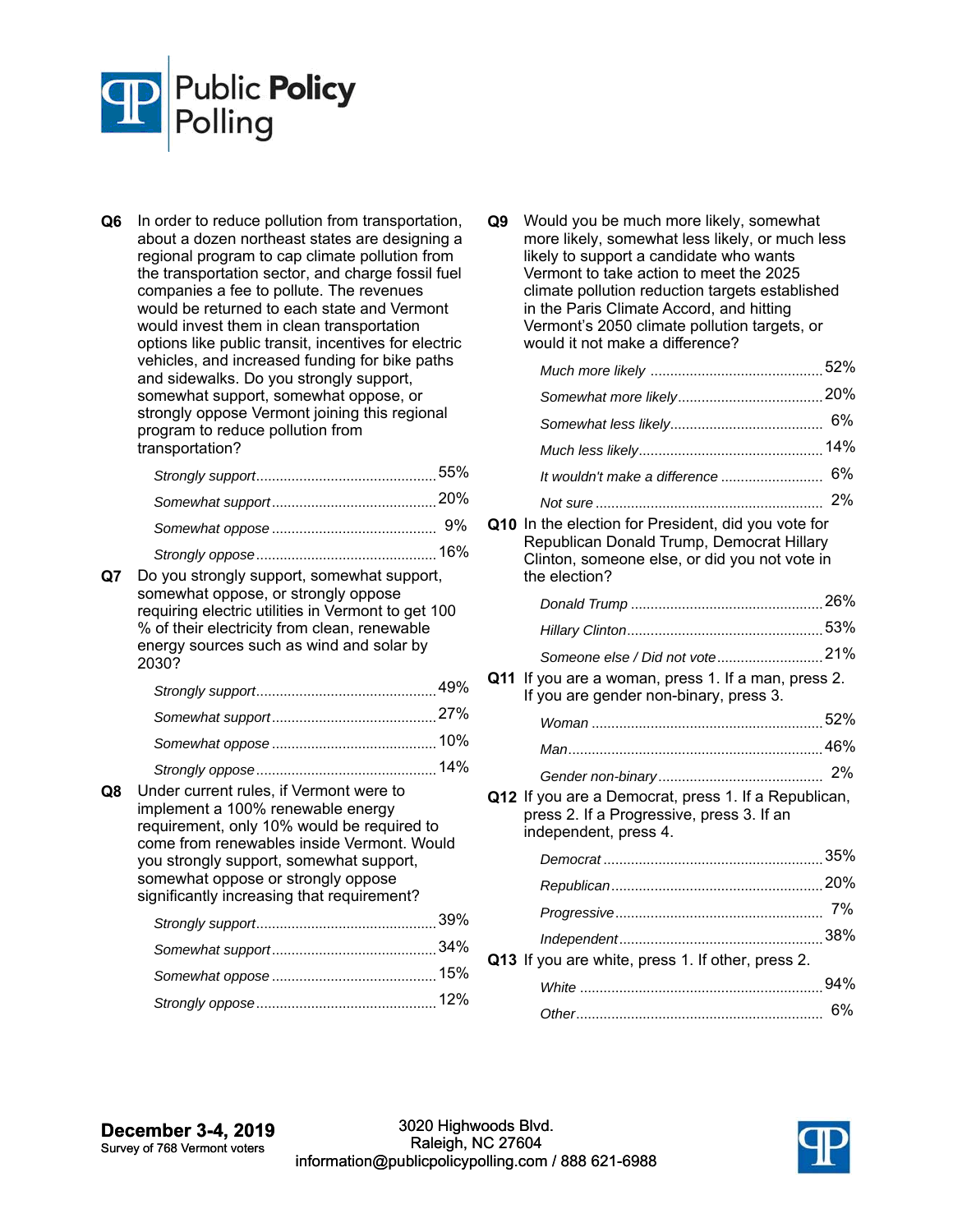

**Q6** In order to reduce pollution from transportation, about a dozen northeast states are designing a regional program to cap climate pollution from the transportation sector, and charge fossil fuel companies a fee to pollute. The revenues would be returned to each state and Vermont would invest them in clean transportation options like public transit, incentives for electric vehicles, and increased funding for bike paths and sidewalks. Do you strongly support, somewhat support, somewhat oppose, or strongly oppose Vermont joining this regional program to reduce pollution from transportation?

| 9% |
|----|

|  | 16% |
|--|-----|

**Q7** Do you strongly support, somewhat support, somewhat oppose, or strongly oppose requiring electric utilities in Vermont to get 100 % of their electricity from clean, renewable energy sources such as wind and solar by 2030?

| 49%                          |
|------------------------------|
|                              |
|                              |
| $\lambda$ $\lambda$ $\Omega$ |

*Strongly oppose* 14% .............................................. **Q8** Under current rules, if Vermont were to implement a 100% renewable energy requirement, only 10% would be required to come from renewables inside Vermont. Would you strongly support, somewhat support, somewhat oppose or strongly oppose significantly increasing that requirement?

**Q9** Would you be much more likely, somewhat more likely, somewhat less likely, or much less likely to support a candidate who wants Vermont to take action to meet the 2025 climate pollution reduction targets established in the Paris Climate Accord, and hitting Vermont's 2050 climate pollution targets, or would it not make a difference?

**Q10** In the election for President, did you vote for Republican Donald Trump, Democrat Hillary Clinton, someone else, or did you not vote in the election?

| Someone else / Did not vote 21%                                                                                                   |     |
|-----------------------------------------------------------------------------------------------------------------------------------|-----|
| <b>Q11</b> If you are a woman, press 1. If a man, press 2.<br>If you are gender non-binary, press 3.                              |     |
|                                                                                                                                   |     |
|                                                                                                                                   |     |
|                                                                                                                                   |     |
| <b>Q12</b> If you are a Democrat, press 1. If a Republican,<br>press 2. If a Progressive, press 3. If an<br>independent, press 4. |     |
|                                                                                                                                   |     |
|                                                                                                                                   |     |
|                                                                                                                                   |     |
|                                                                                                                                   |     |
| Q13 If you are white, press 1. If other, press 2.                                                                                 |     |
|                                                                                                                                   | 94% |
|                                                                                                                                   |     |

*Other* 6% ...............................................................

**December 3-4, 2019** Survey of 768 Vermont voters